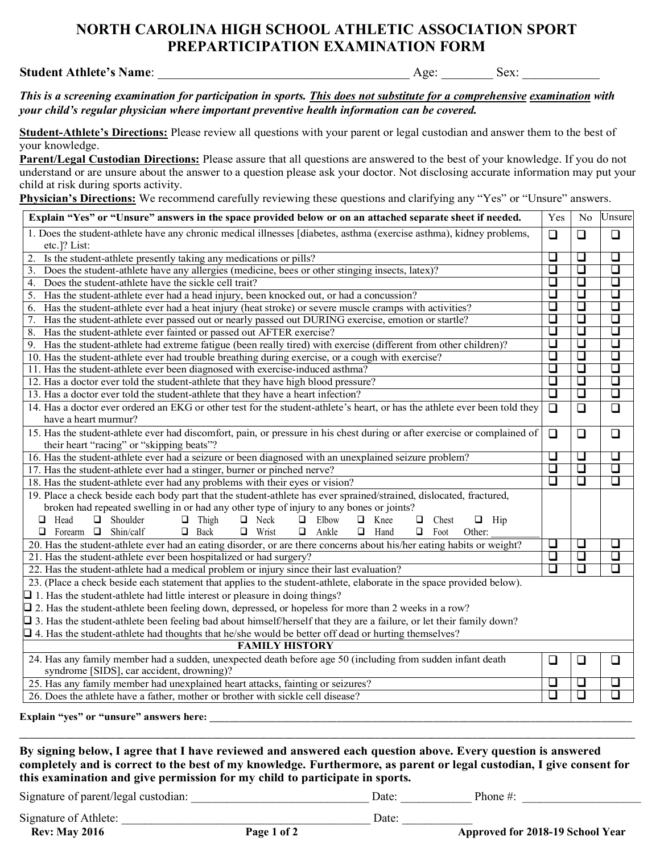## **NORTH CAROLINA HIGH SCHOOL ATHLETIC ASSOCIATION SPORT PREPARTICIPATION EXAMINATION FORM**

## **Student Athlete's Name:**  $\qquad \qquad$  Age:  $\qquad \qquad$  Sex:  $\qquad \qquad$

*This is a screening examination for participation in sports. This does not substitute for a comprehensive examination with your child's regular physician where important preventive health information can be covered.*

**Student-Athlete's Directions:** Please review all questions with your parent or legal custodian and answer them to the best of your knowledge.

**Parent/Legal Custodian Directions:** Please assure that all questions are answered to the best of your knowledge. If you do not understand or are unsure about the answer to a question please ask your doctor. Not disclosing accurate information may put your child at risk during sports activity.

**Physician's Directions:** We recommend carefully reviewing these questions and clarifying any "Yes" or "Unsure" answers.

| Explain "Yes" or "Unsure" answers in the space provided below or on an attached separate sheet if needed.                                               | Yes    |        | No Unsure |  |  |  |  |
|---------------------------------------------------------------------------------------------------------------------------------------------------------|--------|--------|-----------|--|--|--|--|
| 1. Does the student-athlete have any chronic medical illnesses [diabetes, asthma (exercise asthma), kidney problems,<br>etc.]? List:                    |        |        |           |  |  |  |  |
| Is the student-athlete presently taking any medications or pills?                                                                                       | ⊔      | ❏      | ❏         |  |  |  |  |
| Does the student-athlete have any allergies (medicine, bees or other stinging insects, latex)?<br>3.                                                    | $\Box$ | $\Box$ | $\Box$    |  |  |  |  |
| Does the student-athlete have the sickle cell trait?<br>4.                                                                                              | $\Box$ | $\Box$ | $\Box$    |  |  |  |  |
| Has the student-athlete ever had a head injury, been knocked out, or had a concussion?<br>5.                                                            | □      | $\Box$ | $\Box$    |  |  |  |  |
| Has the student-athlete ever had a heat injury (heat stroke) or severe muscle cramps with activities?<br>6.                                             | □      | ❏      | $\Box$    |  |  |  |  |
| Has the student-athlete ever passed out or nearly passed out DURING exercise, emotion or startle?<br>7.                                                 | ❏      | ❏      | $\Box$    |  |  |  |  |
| Has the student-athlete ever fainted or passed out AFTER exercise?<br>8.                                                                                | □      | $\Box$ | $\Box$    |  |  |  |  |
| Has the student-athlete had extreme fatigue (been really tired) with exercise (different from other children)?<br>9.                                    | $\Box$ | $\Box$ | $\Box$    |  |  |  |  |
| 10. Has the student-athlete ever had trouble breathing during exercise, or a cough with exercise?                                                       | ❏      | $\Box$ | $\Box$    |  |  |  |  |
| 11. Has the student-athlete ever been diagnosed with exercise-induced asthma?                                                                           | $\Box$ | $\Box$ | $\Box$    |  |  |  |  |
| 12. Has a doctor ever told the student-athlete that they have high blood pressure?                                                                      | $\Box$ | $\Box$ | O         |  |  |  |  |
| 13. Has a doctor ever told the student-athlete that they have a heart infection?                                                                        | $\Box$ | $\Box$ | $\Box$    |  |  |  |  |
| 14. Has a doctor ever ordered an EKG or other test for the student-athlete's heart, or has the athlete ever been told they                              | $\Box$ | $\Box$ | $\Box$    |  |  |  |  |
| have a heart murmur?                                                                                                                                    |        |        |           |  |  |  |  |
| 15. Has the student-athlete ever had discomfort, pain, or pressure in his chest during or after exercise or complained of                               | $\Box$ | $\Box$ | $\Box$    |  |  |  |  |
| their heart "racing" or "skipping beats"?                                                                                                               |        |        |           |  |  |  |  |
| 16. Has the student-athlete ever had a seizure or been diagnosed with an unexplained seizure problem?                                                   | O      | $\Box$ | $\Box$    |  |  |  |  |
| 17. Has the student-athlete ever had a stinger, burner or pinched nerve?                                                                                | ❏      | $\Box$ | $\Box$    |  |  |  |  |
| u<br>$\Box$<br>$\Box$<br>18. Has the student-athlete ever had any problems with their eyes or vision?                                                   |        |        |           |  |  |  |  |
| 19. Place a check beside each body part that the student-athlete has ever sprained/strained, dislocated, fractured,                                     |        |        |           |  |  |  |  |
| broken had repeated swelling in or had any other type of injury to any bones or joints?                                                                 |        |        |           |  |  |  |  |
| Shoulder<br>$\Box$<br>Head<br>$\Box$<br>$\Box$<br>Thigh<br>Neck<br>□<br>Elbow<br>Knee<br>$\Box$<br>Chest<br>$\Box$<br>□<br>$\Box$ Hip                   |        |        |           |  |  |  |  |
| $\Box$ Back<br>Forearm $\Box$ Shin/calf<br>$\Box$ Wrist<br>Ankle<br>$\Box$<br>$\Box$<br>Hand<br>$\Box$ Foot<br>Other:<br>□                              |        |        |           |  |  |  |  |
| 20. Has the student-athlete ever had an eating disorder, or are there concerns about his/her eating habits or weight?                                   | ❏      | $\Box$ | ⊔         |  |  |  |  |
| 21. Has the student-athlete ever been hospitalized or had surgery?                                                                                      | □      | $\Box$ | $\Box$    |  |  |  |  |
| $\Box$<br>$\Box$<br>□<br>22. Has the student-athlete had a medical problem or injury since their last evaluation?                                       |        |        |           |  |  |  |  |
| 23. (Place a check beside each statement that applies to the student-athlete, elaborate in the space provided below).                                   |        |        |           |  |  |  |  |
| $\Box$ 1. Has the student-athlete had little interest or pleasure in doing things?                                                                      |        |        |           |  |  |  |  |
| $\Box$ 2. Has the student-athlete been feeling down, depressed, or hopeless for more than 2 weeks in a row?                                             |        |        |           |  |  |  |  |
| $\Box$ 3. Has the student-athlete been feeling bad about himself/herself that they are a failure, or let their family down?                             |        |        |           |  |  |  |  |
| $\Box$ 4. Has the student-athlete had thoughts that he/she would be better off dead or hurting themselves?                                              |        |        |           |  |  |  |  |
| <b>FAMILY HISTORY</b>                                                                                                                                   |        |        |           |  |  |  |  |
| 24. Has any family member had a sudden, unexpected death before age 50 (including from sudden infant death<br>syndrome [SIDS], car accident, drowning)? | $\Box$ | ❏      | $\Box$    |  |  |  |  |
| 25. Has any family member had unexplained heart attacks, fainting or seizures?                                                                          | ⊔      | ⊔      | ⊔         |  |  |  |  |
| 26. Does the athlete have a father, mother or brother with sickle cell disease?                                                                         | ❏      | $\Box$ | □         |  |  |  |  |
|                                                                                                                                                         |        |        |           |  |  |  |  |

## **Explain "yes" or "unsure" answers here: \_\_\_\_\_\_\_\_\_\_\_\_\_\_\_\_\_\_\_\_\_\_\_\_\_\_\_\_\_\_\_\_\_\_\_\_\_\_\_\_\_\_\_\_\_\_\_\_\_\_\_\_\_\_\_\_\_\_\_\_\_\_\_\_\_\_\_\_\_\_\_\_\_\_\_\_\_\_\_\_\_\_\_**

**By signing below, I agree that I have reviewed and answered each question above. Every question is answered completely and is correct to the best of my knowledge. Furthermore, as parent or legal custodian, I give consent for this examination and give permission for my child to participate in sports.**

Signature of parent/legal custodian: \_\_\_\_\_\_\_\_\_\_\_\_\_\_\_\_\_\_\_\_\_\_\_\_\_\_\_\_\_\_ Date: \_\_\_\_\_\_\_\_\_\_\_\_ Phone #: \_\_\_\_\_\_\_\_\_\_\_\_\_\_\_\_\_\_\_\_

Signature of Athlete: \_\_\_\_\_\_\_\_\_\_\_\_\_\_\_\_\_\_\_\_\_\_\_\_\_\_\_\_\_\_\_\_\_\_\_\_\_\_\_\_\_\_ Date: \_\_\_\_\_\_\_\_\_\_\_\_

**Rev:** May 2016 **Page 1 of 2 Page 1 of 2 Approved for 2018-19** School Year